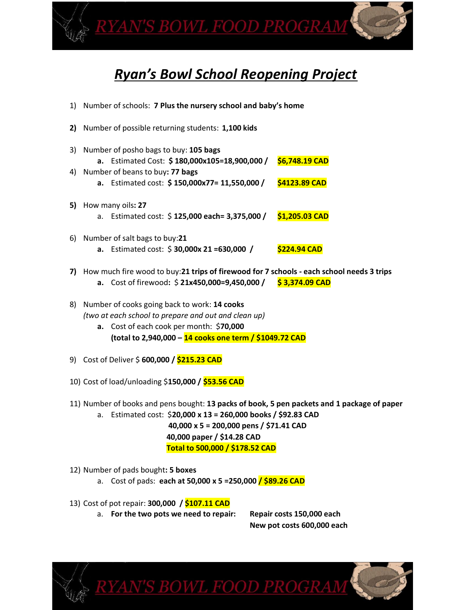<u>YAN'S BOWL FOOD PROGRAM</u>

# *Ryan's Bowl School Reopening Project*

- 1) Number of schools: **7 Plus the nursery school and baby's home 2)** Number of possible returning students: **1,100 kids** 3) Number of posho bags to buy: **105 bags a.** Estimated Cost: **\$ 180,000x105=18,900,000 / \$6,748.19 CAD** 4) Number of beans to buy**: 77 bags a.** Estimated cost: **\$ 150,000x77= 11,550,000 / \$4123.89 CAD 5)** How many oils**: 27** a. Estimated cost: \$ **125,000 each= 3,375,000 / \$1,205.03 CAD** 6) Number of salt bags to buy:**21 a.** Estimated cost: \$ **30,000x 21 =630,000 / \$224.94 CAD 7)** How much fire wood to buy:**21 trips of firewood for 7 schools - each school needs 3 trips a.** Cost of firewood**:** \$ **21x450,000=9,450,000 / \$ 3,374.09 CAD**
- 8) Number of cooks going back to work: **14 cooks**  *(two at each school to prepare and out and clean up)* **a.** Cost of each cook per month: \$**70,000 (total to 2,940,000 – 14 cooks one term / \$1049.72 CAD**
- 9) Cost of Deliver \$ **600,000 / \$215.23 CAD**
- 10) Cost of load/unloading \$**150,000 / \$53.56 CAD**
- 11) Number of books and pens bought: **13 packs of book, 5 pen packets and 1 package of paper**

a. Estimated cost: \$**20,000 x 13 = 260,000 books / \$92.83 CAD 40,000 x 5 = 200,000 pens / \$71.41 CAD 40,000 paper / \$14.28 CAD Total to 500,000 / \$178.52 CAD**

<u>AN'S BOWL FOOD PROGRA</u>

- 12) Number of pads bought**: 5 boxes**
	- a. Cost of pads: **each at 50,000 x 5 =250,000 / \$89.26 CAD**
- 13) Cost of pot repair: **300,000 / \$107.11 CAD**
	- a. **For the two pots we need to repair: Repair costs 150,000 each**

**New pot costs 600,000 each**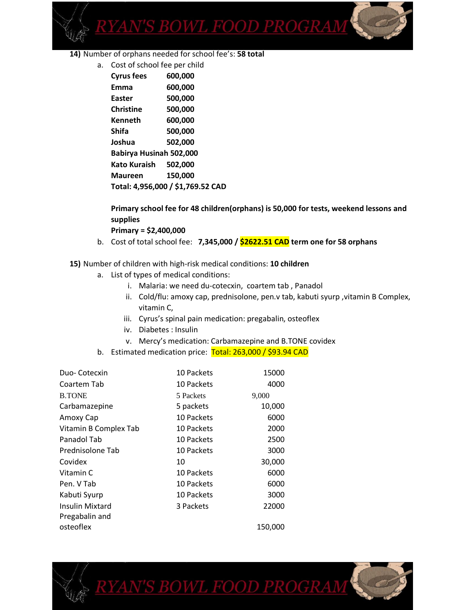

- **14)** Number of orphans needed for school fee's: **58 total** 
	- a. Cost of school fee per child

| <b>Cyrus fees</b>                 | 600,000 |  |
|-----------------------------------|---------|--|
| Emma                              | 600,000 |  |
| Easter                            | 500,000 |  |
| Christine                         | 500,000 |  |
| Kenneth                           | 600,000 |  |
| Shifa                             | 500,000 |  |
| Joshua                            | 502,000 |  |
| Babirya Husinah 502,000           |         |  |
| Kato Kuraish 502.000              |         |  |
| <b>Maureen</b>                    | 150,000 |  |
| Total: 4,956,000 / \$1,769.52 CAD |         |  |

#### **Primary school fee for 48 children(orphans) is 50,000 for tests, weekend lessons and supplies**

**Primary = \$2,400,000**

b. Cost of total school fee: **7,345,000 / \$2622.51 CAD term one for 58 orphans**

#### **15)** Number of children with high-risk medical conditions: **10 children**

- a. List of types of medical conditions:
	- i. Malaria: we need du-cotecxin, coartem tab , Panadol
	- ii. Cold/flu: amoxy cap, prednisolone, pen.v tab, kabuti syurp, vitamin B Complex, vitamin C,
	- iii. Cyrus's spinal pain medication: pregabalin, osteoflex
	- iv. Diabetes : Insulin
	- v. Mercy's medication: Carbamazepine and B.TONE covidex
- b. Estimated medication price: Total: 263,000 / \$93.94 CAD

| Duo-Cotecxin          | 10 Packets | 15000   |
|-----------------------|------------|---------|
| Coartem Tab           | 10 Packets | 4000    |
| <b>B.TONE</b>         | 5 Packets  | 9,000   |
| Carbamazepine         | 5 packets  | 10,000  |
| Amoxy Cap             | 10 Packets | 6000    |
| Vitamin B Complex Tab | 10 Packets | 2000    |
| Panadol Tab           | 10 Packets | 2500    |
| Prednisolone Tab      | 10 Packets | 3000    |
| Covidex               | 10         | 30,000  |
| Vitamin C             | 10 Packets | 6000    |
| Pen. V Tab            | 10 Packets | 6000    |
| Kabuti Syurp          | 10 Packets | 3000    |
| Insulin Mixtard       | 3 Packets  | 22000   |
| Pregabalin and        |            |         |
| osteoflex             |            | 150,000 |